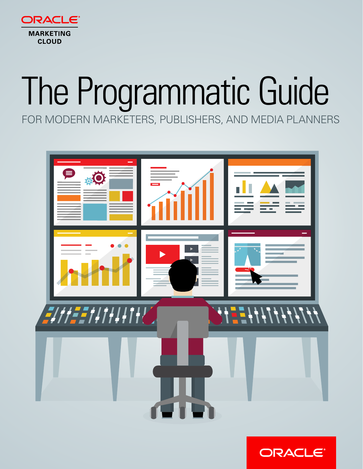

# The Programmatic Guide FOR MODERN MARKETERS, PUBLISHERS, AND MEDIA PLANNERS



**ORACLE®**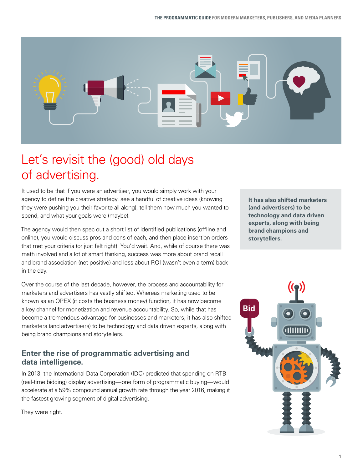

# Let's revisit the (good) old days of advertising.

It used to be that if you were an advertiser, you would simply work with your agency to define the creative strategy, see a handful of creative ideas (knowing they were pushing you their favorite all along), tell them how much you wanted to spend, and what your goals were (maybe).

The agency would then spec out a short list of identified publications (offline and online), you would discuss pros and cons of each, and then place insertion orders that met your criteria (or just felt right). You'd wait. And, while of course there was math involved and a lot of smart thinking, success was more about brand recall and brand association (net positive) and less about ROI (wasn't even a term) back in the day.

Over the course of the last decade, however, the process and accountability for marketers and advertisers has vastly shifted. Whereas marketing used to be known as an OPEX (it costs the business money) function, it has now become a key channel for monetization and revenue accountability. So, while that has become a tremendous advantage for businesses and marketers, it has also shifted marketers (and advertisers) to be technology and data driven experts, along with being brand champions and storytellers.

## **Enter the rise of programmatic advertising and data intelligence.**

In 2013, the International Data Corporation (IDC) predicted that spending on RTB (real-time bidding) display advertising—one form of programmatic buying—would accelerate at a 59% compound annual growth rate through the year 2016, making it the fastest growing segment of digital advertising.

They were right.

**It has also shifted marketers (and advertisers) to be technology and data driven experts, along with being brand champions and storytellers.**

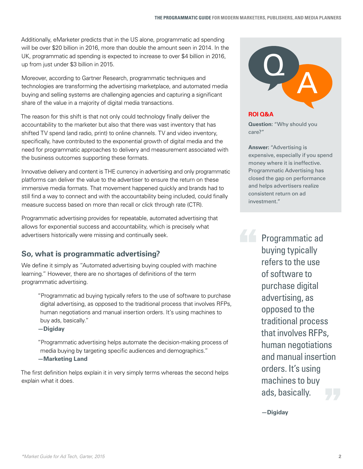Additionally, eMarketer predicts that in the US alone, programmatic ad spending will be over \$20 billion in 2016, more than double the amount seen in 2014. In the UK, programmatic ad spending is expected to increase to over \$4 billion in 2016, up from just under \$3 billion in 2015.

Moreover, according to Gartner Research, programmatic techniques and technologies are transforming the advertising marketplace, and automated media buying and selling systems are challenging agencies and capturing a significant share of the value in a majority of digital media transactions.

The reason for this shift is that not only could technology finally deliver the accountability to the marketer but also that there was vast inventory that has shifted TV spend (and radio, print) to online channels. TV and video inventory, specifically, have contributed to the exponential growth of digital media and the need for programmatic approaches to delivery and measurement associated with the business outcomes supporting these formats.

Innovative delivery and content is THE currency in advertising and only programmatic platforms can deliver the value to the advertiser to ensure the return on these immersive media formats. That movement happened quickly and brands had to still find a way to connect and with the accountability being included, could finally measure success based on more than recall or click through rate (CTR).

Programmatic advertising provides for repeatable, automated advertising that allows for exponential success and accountability, which is precisely what advertisers historically were missing and continually seek.

## **So, what is programmatic advertising?**

We define it simply as "Automated advertising buying coupled with machine learning." However, there are no shortages of definitions of the term programmatic advertising.

"Programmatic ad buying typically refers to the use of software to purchase digital advertising, as opposed to the traditional process that involves RFPs, human negotiations and manual insertion orders. It's using machines to buy ads, basically."

**—Digiday**

"Programmatic advertising helps automate the decision-making process of media buying by targeting specific audiences and demographics." **—Marketing Land**

The first definition helps explain it in very simply terms whereas the second helps explain what it does.



**ROI Q&A**

**Question:** "Why should you care?"

**Answer:** "Advertising is expensive, especially if you spend money where it is ineffective. Programmatic Advertising has closed the gap on performance and helps advertisers realize consistent return on ad investment."

**And Programmatic ad** buying typically refers to the use of software to purchase digital advertising, as opposed to the traditional process that involves RFPs, human negotiations and manual insertion orders. It's using machines to buy ads, basically.

**—Digiday**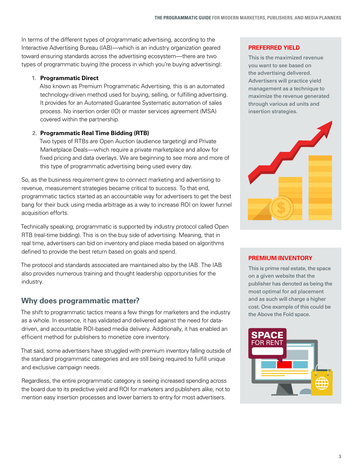In terms of the different types of programmatic advertising, according to the Interactive Advertising Bureau (IAB)—which is an industry organization geared toward ensuring standards across the advertising ecosystem—there are two types of programmatic buying (the process in which you're buying advertising):

#### **1. Programmatic Direct**

Also known as Premium Programmatic Advertising, this is an automated technology-driven method used for buying, selling, or fulfilling advertising. It provides for an Automated Guarantee Systematic automation of sales process. No insertion order (IO) or master services agreement (MSA) covered within the partnership.

#### **2. Programmatic Real Time Bidding (RTB)**

Two types of RTBs are Open Auction (audience targeting) and Private Marketplace Deals—which require a private marketplace and allow for fixed pricing and data overlays. We are beginning to see more and more of this type of programmatic advertising being used every day.

So, as the business requirement grew to connect marketing and advertising to revenue, measurement strategies became critical to success. To that end, programmatic tactics started as an accountable way for advertisers to get the best bang for their buck using media arbitrage as a way to increase ROI on lower funnel acquisition efforts.

Technically speaking, programmatic is supported by industry protocol called Open RTB (real-time bidding). This is on the buy side of advertising. Meaning, that in real time, advertisers can bid on inventory and place media based on algorithms defined to provide the best return based on goals and spend.

The protocol and standards associated are maintained also by the IAB. The IAB also provides numerous training and thought leadership opportunities for the industry.

## **Why does programmatic matter?**

The shift to programmatic tactics means a few things for marketers and the industry as a whole. In essence, it has validated and delivered against the need for datadriven, and accountable ROI-based media delivery. Additionally, it has enabled an efficient method for publishers to monetize core inventory.

That said, some advertisers have struggled with premium inventory falling outside of the standard programmatic categories and are still being required to fulfill unique and exclusive campaign needs.

Regardless, the entire programmatic category is seeing increased spending across the board due to its predictive yield and ROI for marketers and publishers alike, not to mention easy insertion processes and lower barriers to entry for most advertisers.

#### **PREFERRED YIELD**

This is the maximized revenue you want to see based on the advertising delivered. Advertisers will practice yield management as a technique to maximize the revenue generated through various ad units and insertion strategies.



#### **PREMIUM INVENTORY**

This is prime real estate, the space on a given website that the publisher has denoted as being the most optimal for ad placement and as such will charge a higher cost. One example of this could be the Above the Fold space.

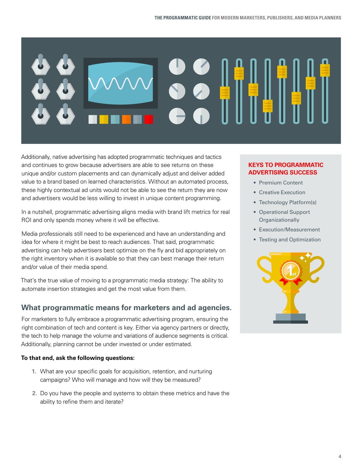

Additionally, native advertising has adopted programmatic techniques and tactics and continues to grow because advertisers are able to see returns on these unique and/or custom placements and can dynamically adjust and deliver added value to a brand based on learned characteristics. Without an automated process, these highly contextual ad units would not be able to see the return they are now and advertisers would be less willing to invest in unique content programming.

In a nutshell, programmatic advertising aligns media with brand lift metrics for real ROI and only spends money where it will be effective.

Media professionals still need to be experienced and have an understanding and idea for where it might be best to reach audiences. That said, programmatic advertising can help advertisers best optimize on the fly and bid appropriately on the right inventory when it is available so that they can best manage their return and/or value of their media spend.

That's the true value of moving to a programmatic media strategy: The ability to automate insertion strategies and get the most value from them.

## **What programmatic means for marketers and ad agencies.**

For marketers to fully embrace a programmatic advertising program, ensuring the right combination of tech and content is key. Either via agency partners or directly, the tech to help manage the volume and variations of audience segments is critical. Additionally, planning cannot be under invested or under estimated.

#### **To that end, ask the following questions:**

- **1.** What are your specific goals for acquisition, retention, and nurturing campaigns? Who will manage and how will they be measured?
- **2.** Do you have the people and systems to obtain these metrics and have the ability to refine them and iterate?

#### **KEYS TO PROGRAMMATIC ADVERTISING SUCCESS**

- Premium Content
- Creative Execution
- Technology Platform(s)
- Operational Support **Organizationally**
- Execution/Measurement
- Testing and Optimization

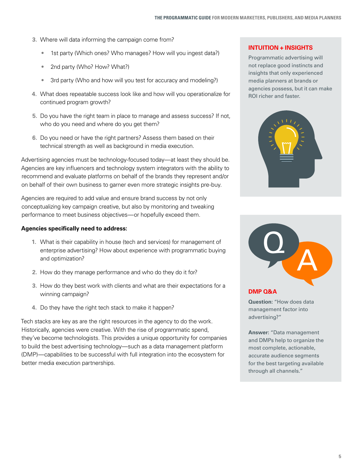- **3.** Where will data informing the campaign come from?
	- 1st party (Which ones? Who manages? How will you ingest data?)
	- 2nd party (Who? How? What?)
	- 3rd party (Who and how will you test for accuracy and modeling?)
- **4.** What does repeatable success look like and how will you operationalize for continued program growth?
- **5.** Do you have the right team in place to manage and assess success? If not, who do you need and where do you get them?
- **6.** Do you need or have the right partners? Assess them based on their technical strength as well as background in media execution.

Advertising agencies must be technology-focused today—at least they should be. Agencies are key influencers and technology system integrators with the ability to recommend and evaluate platforms on behalf of the brands they represent and/or on behalf of their own business to garner even more strategic insights pre-buy.

Agencies are required to add value and ensure brand success by not only conceptualizing key campaign creative, but also by monitoring and tweaking performance to meet business objectives—or hopefully exceed them.

#### **Agencies specifically need to address:**

- **1.** What is their capability in house (tech and services) for management of enterprise advertising? How about experience with programmatic buying and optimization?
- **2.** How do they manage performance and who do they do it for?
- **3.** How do they best work with clients and what are their expectations for a winning campaign?
- **4.** Do they have the right tech stack to make it happen?

Tech stacks are key as are the right resources in the agency to do the work. Historically, agencies were creative. With the rise of programmatic spend, they've become technologists. This provides a unique opportunity for companies to build the best advertising technology—such as a data management platform (DMP)—capabilities to be successful with full integration into the ecosystem for better media execution partnerships.

#### **INTUITION + INSIGHTS**

Programmatic advertising will not replace good instincts and insights that only experienced media planners at brands or agencies possess, but it can make ROI richer and faster.





#### **DMP Q&A**

**Question:** "How does data management factor into advertising?"

**Answer:** "Data management and DMPs help to organize the most complete, actionable, accurate audience segments for the best targeting available through all channels."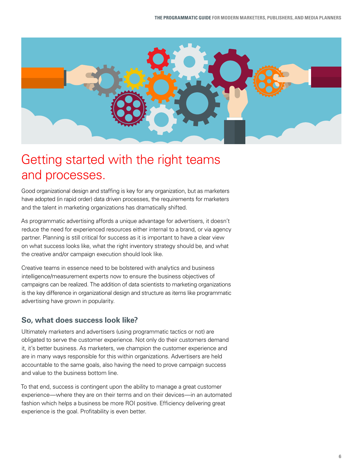

# Getting started with the right teams and processes.

Good organizational design and staffing is key for any organization, but as marketers have adopted (in rapid order) data driven processes, the requirements for marketers and the talent in marketing organizations has dramatically shifted.

As programmatic advertising affords a unique advantage for advertisers, it doesn't reduce the need for experienced resources either internal to a brand, or via agency partner. Planning is still critical for success as it is important to have a clear view on what success looks like, what the right inventory strategy should be, and what the creative and/or campaign execution should look like.

Creative teams in essence need to be bolstered with analytics and business intelligence/measurement experts now to ensure the business objectives of campaigns can be realized. The addition of data scientists to marketing organizations is the key difference in organizational design and structure as items like programmatic advertising have grown in popularity.

## **So, what does success look like?**

Ultimately marketers and advertisers (using programmatic tactics or not) are obligated to serve the customer experience. Not only do their customers demand it, it's better business. As marketers, we champion the customer experience and are in many ways responsible for this within organizations. Advertisers are held accountable to the same goals, also having the need to prove campaign success and value to the business bottom line.

To that end, success is contingent upon the ability to manage a great customer experience—where they are on their terms and on their devices—in an automated fashion which helps a business be more ROI positive. Efficiency delivering great experience is the goal. Profitability is even better.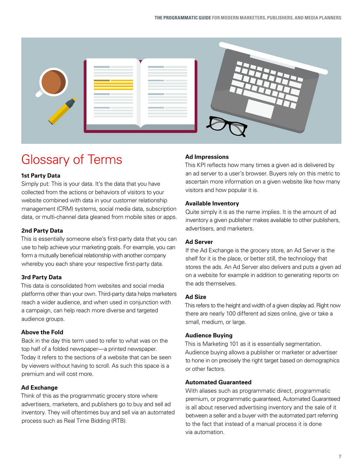| the control of the control of the control of<br>the control of the control of the control of<br>the control of the control of the                                                                                                                                                                                                                                                                                                                                                                                                                                                                                                                                                                                                                                              |  |
|--------------------------------------------------------------------------------------------------------------------------------------------------------------------------------------------------------------------------------------------------------------------------------------------------------------------------------------------------------------------------------------------------------------------------------------------------------------------------------------------------------------------------------------------------------------------------------------------------------------------------------------------------------------------------------------------------------------------------------------------------------------------------------|--|
| the control of the control of<br>the control of the control of the control of the<br>the control of the control of the control of the control of<br>the control of the control of the control of<br>the control of the control of the control of<br>the control of the control of the<br>the control of the control of the control of<br>the control of the control of the con-<br>the control of the control of the control of<br><b>Contract Contract</b><br>the control of the control of the<br>and the control of the control of the control of<br>the control of the control of the control of<br>the control of the control of the control of<br>the control of the control of the<br>the control of the control of the control of<br>the control of the control of the |  |
|                                                                                                                                                                                                                                                                                                                                                                                                                                                                                                                                                                                                                                                                                                                                                                                |  |

# Glossary of Terms

#### **1st Party Data**

Simply put: This is your data. It's the data that you have collected from the actions or behaviors of visitors to your website combined with data in your customer relationship management (CRM) systems, social media data, subscription data, or multi-channel data gleaned from mobile sites or apps.

#### **2nd Party Data**

This is essentially someone else's first-party data that you can use to help achieve your marketing goals. For example, you can form a mutually beneficial relationship with another company whereby you each share your respective first-party data.

#### **3rd Party Data**

This data is consolidated from websites and social media platforms other than your own. Third-party data helps marketers reach a wider audience, and when used in conjunction with a campaign, can help reach more diverse and targeted audience groups.

#### **Above the Fold**

Back in the day this term used to refer to what was on the top half of a folded newspaper—a printed newspaper. Today it refers to the sections of a website that can be seen by viewers without having to scroll. As such this space is a premium and will cost more.

#### **Ad Exchange**

Think of this as the programmatic grocery store where advertisers, marketers, and publishers go to buy and sell ad inventory. They will oftentimes buy and sell via an automated process such as Real Time Bidding (RTB).

#### **Ad Impressions**

This KPI reflects how many times a given ad is delivered by an ad server to a user's browser. Buyers rely on this metric to ascertain more information on a given website like how many visitors and how popular it is.

#### **Available Inventory**

Quite simply it is as the name implies. It is the amount of ad inventory a given publisher makes available to other publishers, advertisers, and marketers.

#### **Ad Server**

If the Ad Exchange is the grocery store, an Ad Server is the shelf for it is the place, or better still, the technology that stores the ads. An Ad Server also delivers and puts a given ad on a website for example in addition to generating reports on the ads themselves.

#### **Ad Size**

This refers to the height and width of a given display ad. Right now there are nearly 100 different ad sizes online, give or take a small, medium, or large.

#### **Audience Buying**

This is Marketing 101 as it is essentially segmentation. Audience buying allows a publisher or marketer or advertiser to hone in on precisely the right target based on demographics or other factors.

#### **Automated Guaranteed**

With aliases such as programmatic direct, programmatic premium, or programmatic guaranteed, Automated Guaranteed is all about reserved advertising inventory and the sale of it between a seller and a buyer with the automated part referring to the fact that instead of a manual process it is done via automation.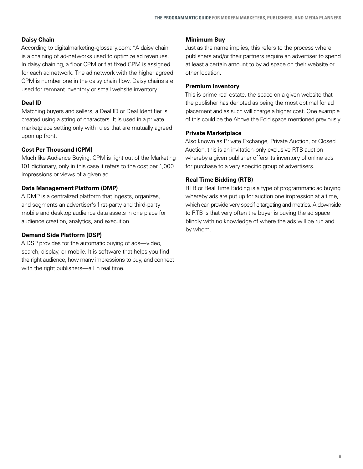#### **Daisy Chain**

According to digitalmarketing-glossary.com: "A daisy chain is a chaining of ad-networks used to optimize ad revenues. In daisy chaining, a floor CPM or flat fixed CPM is assigned for each ad network. The ad network with the higher agreed CPM is number one in the daisy chain flow. Daisy chains are used for remnant inventory or small website inventory."

#### **Deal ID**

Matching buyers and sellers, a Deal ID or Deal Identifier is created using a string of characters. It is used in a private marketplace setting only with rules that are mutually agreed upon up front.

#### **Cost Per Thousand (CPM)**

Much like Audience Buying, CPM is right out of the Marketing 101 dictionary, only in this case it refers to the cost per 1,000 impressions or views of a given ad.

#### **Data Management Platform (DMP)**

A DMP is a centralized platform that ingests, organizes, and segments an advertiser's first-party and third-party mobile and desktop audience data assets in one place for audience creation, analytics, and execution.

#### **Demand Side Platform (DSP)**

A DSP provides for the automatic buying of ads—video, search, display, or mobile. It is software that helps you find the right audience, how many impressions to buy, and connect with the right publishers—all in real time.

#### **Minimum Buy**

Just as the name implies, this refers to the process where publishers and/or their partners require an advertiser to spend at least a certain amount to by ad space on their website or other location.

#### **Premium Inventory**

This is prime real estate, the space on a given website that the publisher has denoted as being the most optimal for ad placement and as such will charge a higher cost. One example of this could be the Above the Fold space mentioned previously.

#### **Private Marketplace**

Also known as Private Exchange, Private Auction, or Closed Auction, this is an invitation-only exclusive RTB auction whereby a given publisher offers its inventory of online ads for purchase to a very specific group of advertisers.

#### **Real Time Bidding (RTB)**

RTB or Real Time Bidding is a type of programmatic ad buying whereby ads are put up for auction one impression at a time, which can provide very specific targeting and metrics. A downside to RTB is that very often the buyer is buying the ad space blindly with no knowledge of where the ads will be run and by whom.